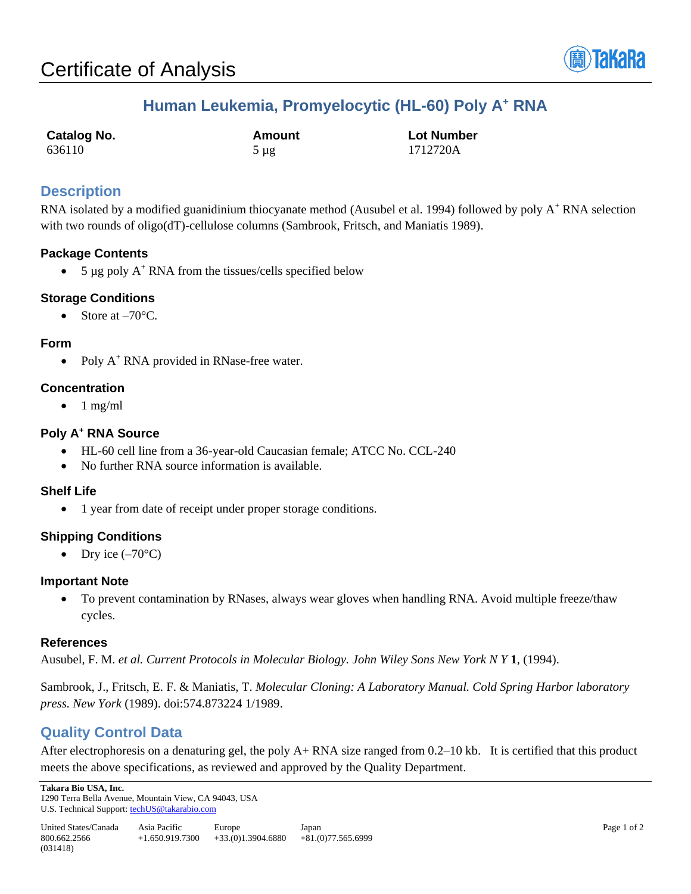

# **Human Leukemia, Promyelocytic (HL-60) Poly A<sup>+</sup> RNA**

| <b>Catalog No.</b> | Amount    | <b>Lot Number</b> |
|--------------------|-----------|-------------------|
| 636110             | $5 \mu$ g | 1712720A          |

## **Description**

RNA isolated by a modified guanidinium thiocyanate method (Ausubel et al. 1994) followed by poly A<sup>+</sup> RNA selection with two rounds of oligo(dT)-cellulose columns (Sambrook, Fritsch, and Maniatis 1989).

## **Package Contents**

• 5  $\mu$ g poly A<sup>+</sup> RNA from the tissues/cells specified below

## **Storage Conditions**

Store at  $-70^{\circ}$ C.

#### **Form**

• Poly A<sup>+</sup> RNA provided in RNase-free water.

## **Concentration**

 $\bullet$  1 mg/ml

#### **Poly A<sup>+</sup> RNA Source**

- HL-60 cell line from a 36-year-old Caucasian female; ATCC No. CCL-240
- No further RNA source information is available.

## **Shelf Life**

• 1 year from date of receipt under proper storage conditions.

## **Shipping Conditions**

• Dry ice  $(-70^{\circ}C)$ 

#### **Important Note**

• To prevent contamination by RNases, always wear gloves when handling RNA. Avoid multiple freeze/thaw cycles.

#### **References**

Ausubel, F. M. *et al. Current Protocols in Molecular Biology. John Wiley Sons New York N Y* **1**, (1994).

Sambrook, J., Fritsch, E. F. & Maniatis, T. *Molecular Cloning: A Laboratory Manual. Cold Spring Harbor laboratory press. New York* (1989). doi:574.873224 1/1989.

# **Quality Control Data**

After electrophoresis on a denaturing gel, the poly A+ RNA size ranged from 0.2–10 kb. It is certified that this product meets the above specifications, as reviewed and approved by the Quality Department.

**Takara Bio USA, Inc.**  1290 Terra Bella Avenue, Mountain View, CA 94043, USA U.S. Technical Support[: techUS@takarabio.com](mailto:techUS@takarabio.com)